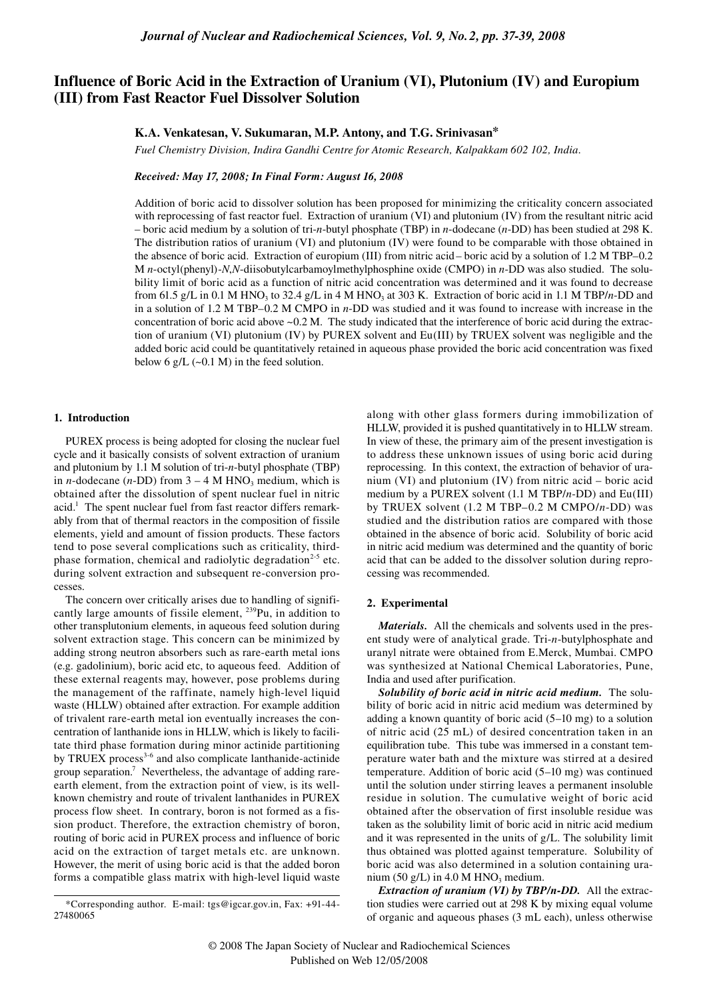# **Influence of Boric Acid in the Extraction of Uranium (VI), Plutonium (IV) and Europium (III) from Fast Reactor Fuel Dissolver Solution**

## **K.A. Venkatesan, V. Sukumaran, M.P. Antony, and T.G. Srinivasan\***

*Fuel Chemistry Division, Indira Gandhi Centre for Atomic Research, Kalpakkam 602 102, India.*

*Received: May 17, 2008; In Final Form: August 16, 2008*

Addition of boric acid to dissolver solution has been proposed for minimizing the criticality concern associated with reprocessing of fast reactor fuel. Extraction of uranium (VI) and plutonium (IV) from the resultant nitric acid – boric acid medium by a solution of tri-*n*-butyl phosphate (TBP) in *n*-dodecane (*n*-DD) has been studied at 298 K. The distribution ratios of uranium (VI) and plutonium (IV) were found to be comparable with those obtained in the absence of boric acid. Extraction of europium (III) from nitric acid – boric acid by a solution of 1.2 M TBP–0.2 M *n*-octyl(phenyl)-*N*,*N*-diisobutylcarbamoylmethylphosphine oxide (CMPO) in *n*-DD was also studied. The solubility limit of boric acid as a function of nitric acid concentration was determined and it was found to decrease from 61.5 g/L in 0.1 M HNO<sub>3</sub> to 32.4 g/L in 4 M HNO<sub>3</sub> at 303 K. Extraction of boric acid in 1.1 M TBP/*n*-DD and in a solution of 1.2 M TBP–0.2 M CMPO in *n*-DD was studied and it was found to increase with increase in the concentration of boric acid above  $\sim 0.2$  M. The study indicated that the interference of boric acid during the extraction of uranium (VI) plutonium (IV) by PUREX solvent and Eu(III) by TRUEX solvent was negligible and the added boric acid could be quantitatively retained in aqueous phase provided the boric acid concentration was fixed below 6 g/L  $(-0.1 M)$  in the feed solution.

#### **1. Introduction**

PUREX process is being adopted for closing the nuclear fuel cycle and it basically consists of solvent extraction of uranium and plutonium by 1.1 M solution of tri-*n*-butyl phosphate (TBP) in *n*-dodecane (*n*-DD) from  $3 - 4$  M HNO<sub>3</sub> medium, which is obtained after the dissolution of spent nuclear fuel in nitric acid.<sup>1</sup> The spent nuclear fuel from fast reactor differs remarkably from that of thermal reactors in the composition of fissile elements, yield and amount of fission products. These factors tend to pose several complications such as criticality, thirdphase formation, chemical and radiolytic degradation<sup>2-5</sup> etc. during solvent extraction and subsequent re-conversion processes.

The concern over critically arises due to handling of significantly large amounts of fissile element, 239Pu, in addition to other transplutonium elements, in aqueous feed solution during solvent extraction stage. This concern can be minimized by adding strong neutron absorbers such as rare-earth metal ions (e.g. gadolinium), boric acid etc, to aqueous feed. Addition of these external reagents may, however, pose problems during the management of the raffinate, namely high-level liquid waste (HLLW) obtained after extraction. For example addition of trivalent rare-earth metal ion eventually increases the concentration of lanthanide ions in HLLW, which is likely to facilitate third phase formation during minor actinide partitioning by TRUEX process<sup>3-6</sup> and also complicate lanthanide-actinide group separation.<sup>7</sup> Nevertheless, the advantage of adding rareearth element, from the extraction point of view, is its wellknown chemistry and route of trivalent lanthanides in PUREX process flow sheet. In contrary, boron is not formed as a fission product. Therefore, the extraction chemistry of boron, routing of boric acid in PUREX process and influence of boric acid on the extraction of target metals etc. are unknown. However, the merit of using boric acid is that the added boron forms a compatible glass matrix with high-level liquid waste

along with other glass formers during immobilization of HLLW, provided it is pushed quantitatively in to HLLW stream. In view of these, the primary aim of the present investigation is to address these unknown issues of using boric acid during reprocessing. In this context, the extraction of behavior of uranium (VI) and plutonium (IV) from nitric acid – boric acid medium by a PUREX solvent (1.1 M TBP/*n*-DD) and Eu(III) by TRUEX solvent (1.2 M TBP–0.2 M CMPO/*n*-DD) was studied and the distribution ratios are compared with those obtained in the absence of boric acid. Solubility of boric acid in nitric acid medium was determined and the quantity of boric acid that can be added to the dissolver solution during reprocessing was recommended.

## **2. Experimental**

*Materials.* All the chemicals and solvents used in the present study were of analytical grade. Tri-*n*-butylphosphate and uranyl nitrate were obtained from E.Merck, Mumbai. CMPO was synthesized at National Chemical Laboratories, Pune, India and used after purification.

*Solubility of boric acid in nitric acid medium.* The solubility of boric acid in nitric acid medium was determined by adding a known quantity of boric acid (5–10 mg) to a solution of nitric acid (25 mL) of desired concentration taken in an equilibration tube. This tube was immersed in a constant temperature water bath and the mixture was stirred at a desired temperature. Addition of boric acid (5–10 mg) was continued until the solution under stirring leaves a permanent insoluble residue in solution. The cumulative weight of boric acid obtained after the observation of first insoluble residue was taken as the solubility limit of boric acid in nitric acid medium and it was represented in the units of g/L. The solubility limit thus obtained was plotted against temperature. Solubility of boric acid was also determined in a solution containing uranium (50 g/L) in  $4.0 M HNO<sub>3</sub>$  medium.

*Extraction of uranium (VI) by TBP/n-DD.* All the extraction studies were carried out at 298 K by mixing equal volume of organic and aqueous phases (3 mL each), unless otherwise

<sup>\*</sup>Corresponding author. E-mail: tgs@igcar.gov.in, Fax: +91-44- 27480065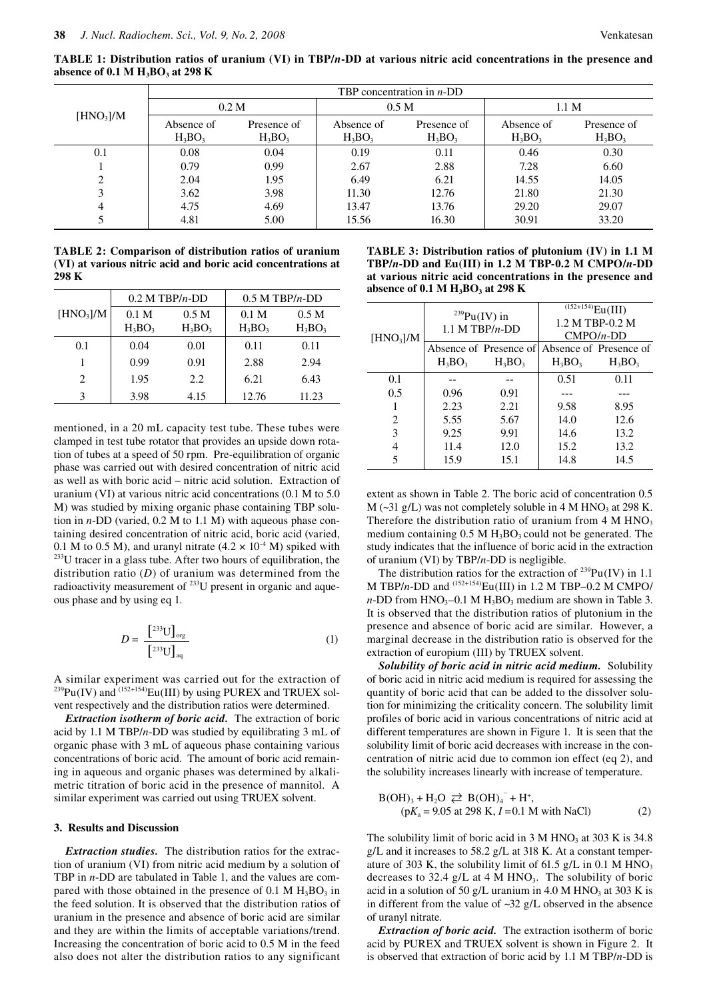**TABLE 1: Distribution ratios of uranium (VI) in TBP/***n***-DD at various nitric acid concentrations in the presence and absence of 0.1 M H3BO3 at 298 K**

|                       | TBP concentration in $n$ -DD |                          |                         |                          |                         |                          |  |  |
|-----------------------|------------------------------|--------------------------|-------------------------|--------------------------|-------------------------|--------------------------|--|--|
| [HNO <sub>3</sub> ]/M | 0.2 <sub>M</sub>             |                          | 0.5 <sub>M</sub>        |                          | 1.1 <sub>M</sub>        |                          |  |  |
|                       | Absence of<br>$H_3BO_3$      | Presence of<br>$H_3BO_3$ | Absence of<br>$H_3BO_3$ | Presence of<br>$H_3BO_3$ | Absence of<br>$H_3BO_3$ | Presence of<br>$H_3BO_3$ |  |  |
| 0.1                   | 0.08                         | 0.04                     | 0.19                    | 0.11                     | 0.46                    | 0.30                     |  |  |
|                       | 0.79                         | 0.99                     | 2.67                    | 2.88                     | 7.28                    | 6.60                     |  |  |
| ↑                     | 2.04                         | 1.95                     | 6.49                    | 6.21                     | 14.55                   | 14.05                    |  |  |
|                       | 3.62                         | 3.98                     | 11.30                   | 12.76                    | 21.80                   | 21.30                    |  |  |
| 4                     | 4.75                         | 4.69                     | 13.47                   | 13.76                    | 29.20                   | 29.07                    |  |  |
|                       | 4.81                         | 5.00                     | 15.56                   | 16.30                    | 30.91                   | 33.20                    |  |  |

**TABLE 2: Comparison of distribution ratios of uranium (VI) at various nitric acid and boric acid concentrations at 298 K**

|                       |                  | $0.2$ M TBP/n-DD | $0.5$ M TBP/n-DD |                  |  |
|-----------------------|------------------|------------------|------------------|------------------|--|
| [HNO <sub>3</sub> ]/M | 0.1 <sub>M</sub> | 0.5 <sub>M</sub> | 0.1 <sub>M</sub> | 0.5 <sub>M</sub> |  |
|                       | $H_3BO_3$        | $H_3BO_3$        | $H_3BO_3$        | $H_3BO_3$        |  |
| 0.1                   | 0.04             | 0.01             | 0.11             | 0.11             |  |
|                       | 0.99             | 0.91             | 2.88             | 2.94             |  |
| $\mathfrak{D}$        | 1.95             | 2.2              | 6.21             | 6.43             |  |
| 3                     | 3.98             | 4.15             | 12.76            | 11.23            |  |

mentioned, in a 20 mL capacity test tube. These tubes were clamped in test tube rotator that provides an upside down rotation of tubes at a speed of 50 rpm. Pre-equilibration of organic phase was carried out with desired concentration of nitric acid as well as with boric acid – nitric acid solution. Extraction of uranium (VI) at various nitric acid concentrations (0.1 M to 5.0 M) was studied by mixing organic phase containing TBP solution in *n*-DD (varied, 0.2 M to 1.1 M) with aqueous phase containing desired concentration of nitric acid, boric acid (varied, 0.1 M to 0.5 M), and uranyl nitrate  $(4.2 \times 10^{-4}$  M) spiked with <sup>233</sup>U tracer in a glass tube. After two hours of equilibration, the distribution ratio (*D*) of uranium was determined from the radioactivity measurement of <sup>233</sup>U present in organic and aqueous phase and by using eq 1.

$$
D = \frac{\left[233 \text{U}\right]_{\text{org}}}{\left[233 \text{U}\right]_{\text{aq}}} \tag{1}
$$

A similar experiment was carried out for the extraction of  $^{239}Pu(IV)$  and  $^{(152+154)}Eu(III)$  by using PUREX and TRUEX solvent respectively and the distribution ratios were determined.

*Extraction isotherm of boric acid.* The extraction of boric acid by 1.1 M TBP/*n*-DD was studied by equilibrating 3 mL of organic phase with 3 mL of aqueous phase containing various concentrations of boric acid. The amount of boric acid remaining in aqueous and organic phases was determined by alkalimetric titration of boric acid in the presence of mannitol. A similar experiment was carried out using TRUEX solvent.

# **3. Results and Discussion**

*Extraction studies.* The distribution ratios for the extraction of uranium (VI) from nitric acid medium by a solution of TBP in *n*-DD are tabulated in Table 1, and the values are compared with those obtained in the presence of  $0.1 \text{ M H}_3\text{BO}_3$  in the feed solution. It is observed that the distribution ratios of uranium in the presence and absence of boric acid are similar and they are within the limits of acceptable variations/trend. Increasing the concentration of boric acid to 0.5 M in the feed also does not alter the distribution ratios to any significant

**TABLE 3: Distribution ratios of plutonium (IV) in 1.1 M TBP/***n***-DD and Eu(III) in 1.2 M TBP-0.2 M CMPO/***n***-DD at various nitric acid concentrations in the presence and absence of 0.1 M H<sub>3</sub>BO<sub>3</sub> at 298 K** 

| [HNO <sub>3</sub> ]/M | $^{239}Pu(IV)$ in | $1.1$ M TBP/n-DD                              | $^{(152+154)}Eu(III)$<br>1.2 M TBP-0.2 M<br>$CMPO/n-DD$ |           |  |
|-----------------------|-------------------|-----------------------------------------------|---------------------------------------------------------|-----------|--|
|                       |                   | Absence of Presence of Absence of Presence of |                                                         |           |  |
|                       | $H_3BO_3$         | $H_3BO_3$                                     | $H_3BO_3$                                               | $H_3BO_3$ |  |
| 0.1                   |                   |                                               | 0.51                                                    | 0.11      |  |
| 0.5                   | 0.96              | 0.91                                          |                                                         |           |  |
|                       | 2.23              | 2.21                                          | 9.58                                                    | 8.95      |  |
| 2                     | 5.55              | 5.67                                          | 14.0                                                    | 12.6      |  |
| 3                     | 9.25              | 9.91                                          | 14.6                                                    | 13.2      |  |
| 4                     | 11.4              | 12.0                                          | 15.2                                                    | 13.2      |  |
| 5                     | 15.9              | 15.1                                          | 14.8                                                    | 14.5      |  |

extent as shown in Table 2. The boric acid of concentration 0.5  $M$  (~31 g/L) was not completely soluble in 4 M HNO<sub>3</sub> at 298 K. Therefore the distribution ratio of uranium from  $4 \text{ M HNO}_3$ medium containing  $0.5 \text{ M H}_3\text{BO}_3$  could not be generated. The study indicates that the influence of boric acid in the extraction of uranium (VI) by TBP/*n*-DD is negligible.

The distribution ratios for the extraction of  $^{239}Pu(IV)$  in 1.1 M TBP/*n*-DD and (152+154)Eu(III) in 1.2 M TBP–0.2 M CMPO/  $n$ -DD from HNO<sub>3</sub>-0.1 M H<sub>3</sub>BO<sub>3</sub> medium are shown in Table 3. It is observed that the distribution ratios of plutonium in the presence and absence of boric acid are similar. However, a marginal decrease in the distribution ratio is observed for the extraction of europium (III) by TRUEX solvent.

*Solubility of boric acid in nitric acid medium.* Solubility of boric acid in nitric acid medium is required for assessing the quantity of boric acid that can be added to the dissolver solution for minimizing the criticality concern. The solubility limit profiles of boric acid in various concentrations of nitric acid at different temperatures are shown in Figure 1. It is seen that the solubility limit of boric acid decreases with increase in the concentration of nitric acid due to common ion effect (eq 2), and the solubility increases linearly with increase of temperature.

B(OH)<sub>3</sub> + H<sub>2</sub>O 
$$
\rightleftarrows
$$
 B(OH)<sub>4</sub><sup>-</sup> + H<sup>+</sup>,  
(pK<sub>4</sub> = 9.05 at 298 K, I = 0.1 M with NaCl) (2)

The solubility limit of boric acid in  $3 M HNO<sub>3</sub>$  at  $303 K$  is  $34.8$ g/L and it increases to 58.2 g/L at 318 K. At a constant temperature of 303 K, the solubility limit of 61.5 g/L in 0.1 M HNO<sub>3</sub> decreases to 32.4 g/L at 4 M HNO<sub>3</sub>. The solubility of boric acid in a solution of 50 g/L uranium in  $4.0 M HNO<sub>3</sub>$  at 303 K is in different from the value of ~32 g/L observed in the absence of uranyl nitrate.

*Extraction of boric acid.* The extraction isotherm of boric acid by PUREX and TRUEX solvent is shown in Figure 2. It is observed that extraction of boric acid by 1.1 M TBP/*n*-DD is